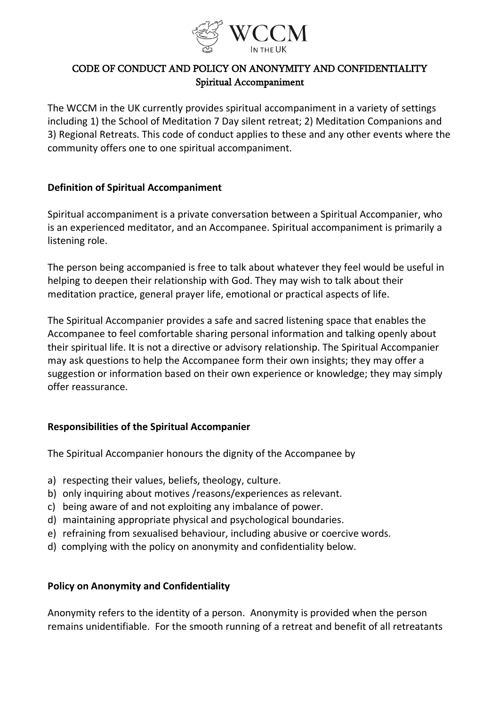

# CODE OF CONDUCT AND POLICY ON ANONYMITY AND CONFIDENTIALITY Spiritual Accompaniment

The WCCM in the UK currently provides spiritual accompaniment in a variety of settings including 1) the School of Meditation 7 Day silent retreat; 2) Meditation Companions and 3) Regional Retreats. This code of conduct applies to these and any other events where the community offers one to one spiritual accompaniment.

#### **Definition of Spiritual Accompaniment**

Spiritual accompaniment is a private conversation between a Spiritual Accompanier, who is an experienced meditator, and an Accompanee. Spiritual accompaniment is primarily a listening role.

The person being accompanied is free to talk about whatever they feel would be useful in helping to deepen their relationship with God. They may wish to talk about their meditation practice, general prayer life, emotional or practical aspects of life.

The Spiritual Accompanier provides a safe and sacred listening space that enables the Accompanee to feel comfortable sharing personal information and talking openly about their spiritual life. It is not a directive or advisory relationship. The Spiritual Accompanier may ask questions to help the Accompanee form their own insights; they may offer a suggestion or information based on their own experience or knowledge; they may simply offer reassurance.

### **Responsibilities of the Spiritual Accompanier**

The Spiritual Accompanier honours the dignity of the Accompanee by

- a) respecting their values, beliefs, theology, culture.
- b) only inquiring about motives /reasons/experiences as relevant.
- c) being aware of and not exploiting any imbalance of power.
- d) maintaining appropriate physical and psychological boundaries.
- e) refraining from sexualised behaviour, including abusive or coercive words.
- d) complying with the policy on anonymity and confidentiality below.

### **Policy on Anonymity and Confidentiality**

Anonymity refers to the identity of a person. Anonymity is provided when the person remains unidentifiable. For the smooth running of a retreat and benefit of all retreatants